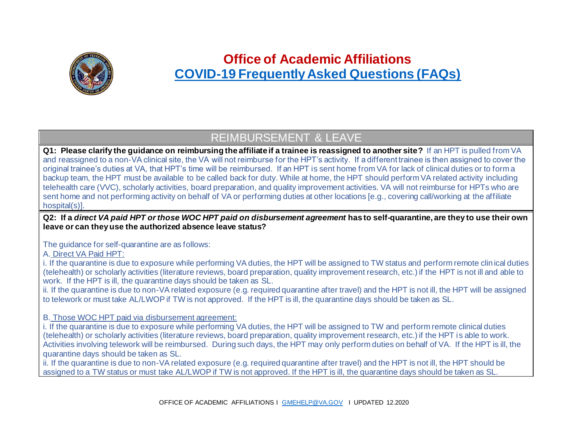

# **Office of Academic Affiliations [COVID-19 Frequently Asked Questions \(FAQs\)](https://dvagov.sharepoint.com/sites/VHAOAA/public/SitePages/COVID-19%20Updates.aspx)**

### REIMBURSEMENT & LEAVE

**Q1: Please clarify the guidance on reimbursing the affiliate if a trainee is reassigned to another site?** If an HPT is pulled from VA and reassigned to a non-VA clinical site, the VA will not reimburse for the HPT's activity. If a different trainee is then assigned to cover the original trainee's duties at VA, that HPT's time will be reimbursed. If an HPT is sent home from VA for lack of clinical duties or to form a backup team, the HPT must be available to be called back for duty. While at home, the HPT should perform VA related activity including telehealth care (VVC), scholarly activities, board preparation, and quality improvement activities. VA will not reimburse for HPTs who are sent home and not performing activity on behalf of VA or performing duties at other locations [e.g., covering call/working at the affiliate hospital(s)].

**Q2: If a** *direct VA paid HPT or those WOC HPT paid on disbursement agreement* **has to self-quarantine, are they to use their own leave or can they use the authorized absence leave status?**

The guidance for self-quarantine are as follows:

A. Direct VA Paid HPT:

i. If the quarantine is due to exposure while performing VA duties, the HPT will be assigned to TW status and perform remote clin ical duties (telehealth) or scholarly activities (literature reviews, board preparation, quality improvement research, etc.) if the HPT is not ill and able to work. If the HPT is ill, the quarantine days should be taken as SL.

ii. If the quarantine is due to non-VA related exposure (e.g. required quarantine after travel) and the HPT is not ill, the HPT will be assigned to telework or must take AL/LWOP if TW is not approved. If the HPT is ill, the quarantine days should be taken as SL.

B. Those WOC HPT paid via disbursement agreement:

i. If the quarantine is due to exposure while performing VA duties, the HPT will be assigned to TW and perform remote clinical duties (telehealth) or scholarly activities (literature reviews, board preparation, quality improvement research, etc.) if the HPT is able to work. Activities involving telework will be reimbursed. During such days, the HPT may only perform duties on behalf of VA. If the HPT is ill, the quarantine days should be taken as SL.

ii. If the quarantine is due to non-VA related exposure (e.g. required quarantine after travel) and the HPT is not ill, the HPT should be assigned to a TW status or must take AL/LWOP if TW is not approved. If the HPT is ill, the quarantine days should be taken as SL.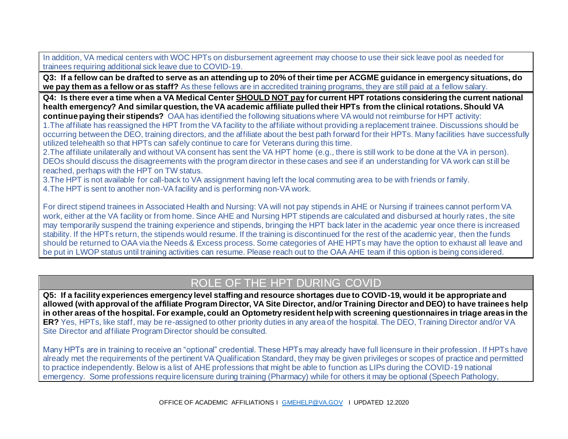In addition, VA medical centers with WOC HPTs on disbursement agreement may choose to use their sick leave pool as needed for trainees requiring additional sick leave due to COVID-19.

**Q3: If a fellow can be drafted to serve as an attending up to 20% of their time per ACGME guidance in emergency situations, do we pay them as a fellow or as staff?** As these fellows are in accredited training programs, they are still paid at a fellow salary.

**Q4: Is there ever a time when a VA Medical Center SHOULD NOT pay for current HPT rotations considering the current national health emergency? And similar question, the VA academic affiliate pulled their HPTs from the clinical rotations. Should VA continue paying their stipends?** OAA has identified the following situations where VA would not reimburse for HPT activity:

1.The affiliate has reassigned the HPT from the VA facility to the affiliate without providing a replacement trainee. Discussions should be occurring between the DEO, training directors, and the affiliate about the best path forward for their HPTs. Many facilities have successfully utilized telehealth so that HPTs can safely continue to care for Veterans during this time.

2.The affiliate unilaterally and without VA consent has sent the VA HPT home (e.g., there is still work to be done at the VA in person). DEOs should discuss the disagreements with the program director in these cases and see if an understanding for VA work can still be reached, perhaps with the HPT on TW status.

3.The HPT is not available for call-back to VA assignment having left the local commuting area to be with friends or family.

4.The HPT is sent to another non-VA facility and is performing non-VA work.

For direct stipend trainees in Associated Health and Nursing: VA will not pay stipends in AHE or Nursing if trainees cannot perform VA work, either at the VA facility or from home. Since AHE and Nursing HPT stipends are calculated and disbursed at hourly rates, the site may temporarily suspend the training experience and stipends, bringing the HPT back later in the academic year once there is increased stability. If the HPTs return, the stipends would resume. If the training is discontinued for the rest of the academic year, then the funds should be returned to OAA via the Needs & Excess process. Some categories of AHE HPTs may have the option to exhaust all leave and be put in LWOP status until training activities can resume. Please reach out to the OAA AHE team if this option is being considered.

## ROLE OF THE HPT DURING COVID

**Q5: If a facility experiences emergency level staffing and resource shortages due to COVID-19, would it be appropriate and allowed (with approval of the affiliate Program Director, VA Site Director, and/or Training Director and DEO) to have trainees help in other areas of the hospital. For example, could an Optometry resident help with screening questionnaires in triage areas in the ER?** Yes, HPTs, like staff, may be re-assigned to other priority duties in any area of the hospital. The DEO, Training Director and/or VA Site Director and affiliate Program Director should be consulted.

Many HPTs are in training to receive an "optional" credential. These HPTs may already have full licensure in their profession. If HPTs have already met the requirements of the pertinent VA Qualification Standard, they may be given privileges or scopes of practice and permitted to practice independently. Below is a list of AHE professions that might be able to function as LIPs during the COVID-19 national emergency. Some professions require licensure during training (Pharmacy) while for others it may be optional (Speech Pathology,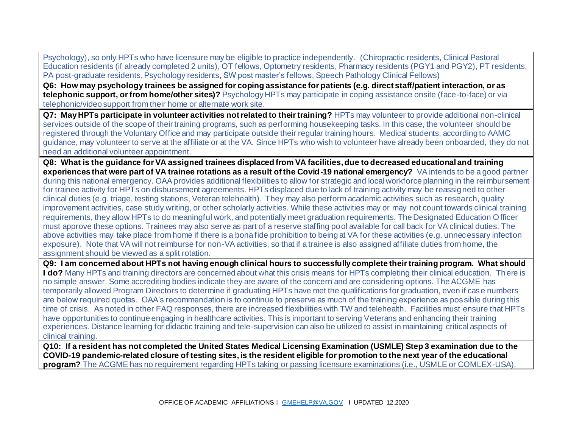Psychology), so only HPTs who have licensure may be eligible to practice independently. (Chiropractic residents, Clinical Pastoral Education residents (if already completed 2 units), OT fellows, Optometry residents, Pharmacy residents (PGY1 and PGY2), PT residents, PA post-graduate residents, Psychology residents, SW post master's fellows, Speech Pathology Clinical Fellows)

**Q6: How may psychology trainees be assigned for coping assistance for patients (e.g. direct staff/patient interaction, or as telephonic support, or from home/other sites)?** Psychology HPTs may participate in coping assistance onsite (face-to-face) or via telephonic/video support from their home or alternate work site.

**Q7: May HPTs participate in volunteer activities not related to their training?** HPTs may volunteer to provide additional non-clinical services outside of the scope of their training programs, such as performing housekeeping tasks. In this case, the volunteer should be registered through the Voluntary Office and may participate outside their regular training hours. Medical students, according to AAMC guidance, may volunteer to serve at the affiliate or at the VA. Since HPTs who wish to volunteer have already been onboarded, they do not need an additional volunteer appointment.

**Q8: What is the guidance for VA assigned trainees displaced from VA facilities, due to decreased educational and training experiences that were part of VA trainee rotations as a result of the Covid-19 national emergency?** VA intends to be a good partner during this national emergency. OAA provides additional flexibilities to allow for strategic and local workforce planning in the reimbursement for trainee activity for HPTs on disbursement agreements. HPTs displaced due to lack of training activity may be reassigned to other clinical duties (e.g. triage, testing stations, Veteran telehealth). They may also perform academic activities such as research, quality improvement activities, case study writing, or other scholarly activities. While these activities may or may not count towards clinical training requirements, they allow HPTs to do meaningful work, and potentially meet graduation requirements. The Designated Education Officer must approve these options. Trainees may also serve as part of a reserve staffing pool available for call back for VA clinical duties. The above activities may take place from home if there is a bona fide prohibition to being at VA for these activities (e.g. unnecessary infection exposure). Note that VA will not reimburse for non-VA activities, so that if a trainee is also assigned affiliate duties from home, the assignment should be viewed as a split rotation.

**Q9: I am concerned about HPTs not having enough clinical hours to successfully complete their training program. What should I do?** Many HPTs and training directors are concerned about what this crisis means for HPTs completing their clinical education. There is no simple answer. Some accrediting bodies indicate they are aware of the concern and are considering options. The ACGME has temporarily allowed Program Directors to determine if graduating HPTs have met the qualifications for graduation, even if case numbers are below required quotas. OAA's recommendation is to continue to preserve as much of the training experience as possible during this time of crisis. As noted in other FAQ responses, there are increased flexibilities with TW and telehealth. Facilities must ensure that HPTs have opportunities to continue engaging in healthcare activities. This is important to serving Veterans and enhancing their training experiences. Distance learning for didactic training and tele-supervision can also be utilized to assist in maintaining critical aspects of clinical training.

**Q10: If a resident has not completed the United States Medical Licensing Examination (USMLE) Step 3 examination due to the COVID-19 pandemic-related closure of testing sites, is the resident eligible for promotion to the next year of the educational program?** The ACGME has no requirement regarding HPTs taking or passing licensure examinations (i.e., USMLE or COMLEX-USA).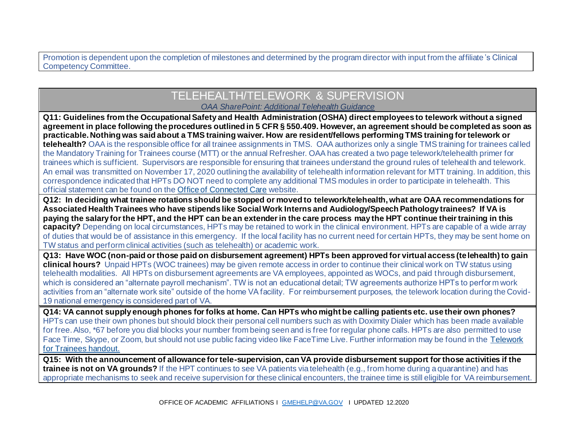Promotion is dependent upon the completion of milestones and determined by the program director with input from the affiliate 's Clinical Competency Committee.

### TELEHEALTH/TELEWORK & SUPERVISION *OAA SharePoint: [Additional Telehealth Guidance](https://dvagov.sharepoint.com/sites/VHAOAA/public/SitePages/Telehealth.aspx)*

**Q11: Guidelines from the Occupational Safety and Health Administration (OSHA) direct employees to telework without a signed agreement in place following the procedures outlined in 5 CFR § 550.409. However, an agreement should be completed as soon as practicable. Nothing was said about a TMS training waiver. How are resident/fellows performing TMS training for telework or telehealth?** OAA is the responsible office for all trainee assignments in TMS. OAA authorizes only a single TMS training for trainees called the Mandatory Training for Trainees course (MTT) or the annual Refresher. OAA has created a two page telework/telehealth primer for trainees which is sufficient. Supervisors are responsible for ensuring that trainees understand the ground rules of telehealth and telework. An email was transmitted on November 17, 2020 outlining the availability of telehealth information relevant for MTT training. In addition, this correspondence indicated that HPTs DO NOT need to complete any additional TMS modules in order to participate in telehealth. This official statement can be found on th[e Office of Connected Care](https://vaots.blackboard.com/bbcswebdav/library/LibraryContent/Telehealth/th_manual/th_manual/TH-manual.html) website.

**Q12: In deciding what trainee rotations should be stopped or moved to telework/telehealth, what are OAA recommendations for Associated Health Trainees who have stipends like Social Work Interns and Audiology/Speech Pathology trainees? If VA is paying the salary for the HPT, and the HPT can be an extender in the care process may the HPT continue their training in this capacity?** Depending on local circumstances, HPTs may be retained to work in the clinical environment. HPTs are capable of a wide array of duties that would be of assistance in this emergency. If the local facility has no current need for certain HPTs, they may be sent home on TW status and perform clinical activities (such as telehealth) or academic work.

**Q13: Have WOC (non-paid or those paid on disbursement agreement) HPTs been approved for virtual access (telehealth) to gain clinical hours?** Unpaid HPTs (WOC trainees) may be given remote access in order to continue their clinical work on TW status using telehealth modalities. All HPTs on disbursement agreements are VA employees, appointed as WOCs, and paid through disbursement, which is considered an "alternate payroll mechanism". TW is not an educational detail; TW agreements authorize HPTs to perfor m work activities from an "alternate work site" outside of the home VA facility. For reimbursement purposes, the telework location during the Covid-19 national emergency is considered part of VA.

**Q14: VA cannot supply enough phones for folks at home. Can HPTs who might be calling patients etc. use their own phones?** HPTs can use their own phones but should block their personal cell numbers such as with Doximity Dialer which has been made available for free. Also, \*67 before you dial blocks your number from being seen and is free for regular phone calls. HPTs are also permitted to use Face Time, Skype, or Zoom, but should not use public facing video like FaceTime Live. Further information may be found in the [Telework](https://dvagov.sharepoint.com/sites/VHAOAA/public/SitePages/Telehealth.aspx)  [for Trainees](https://dvagov.sharepoint.com/sites/VHAOAA/public/SitePages/Telehealth.aspx) handout.

**Q15: With the announcement of allowance for tele-supervision, can VA provide disbursement support for those activities if the trainee is not on VA grounds?** If the HPT continues to see VA patients via telehealth (e.g., from home during a quarantine) and has appropriate mechanisms to seek and receive supervision for these clinical encounters, the trainee time is still eligible for VA reimbursement.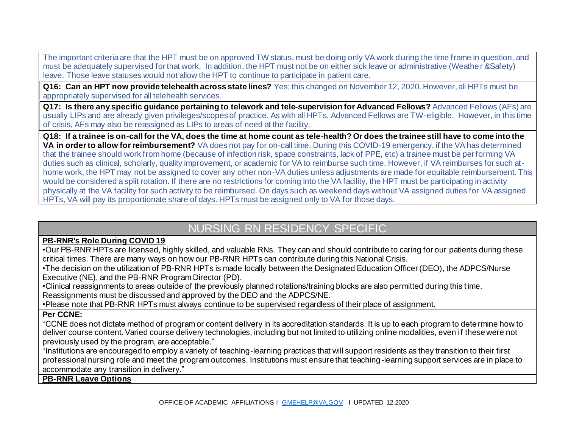The important criteria are that the HPT must be on approved TW status, must be doing only VA work during the time frame in question, and must be adequately supervised for that work. In addition, the HPT must not be on either sick leave or administrative (Weather &Safety) leave. Those leave statuses would not allow the HPT to continue to participate in patient care.

**Q16: Can an HPT now provide telehealth across state lines?** Yes; this changed on November 12, 2020. However, all HPTs must be appropriately supervised for all telehealth services.

**Q17: Is there any specific guidance pertaining to telework and tele-supervision for Advanced Fellows?** Advanced Fellows (AFs) are usually LIPs and are already given privileges/scopes of practice. As with all HPTs, Advanced Fellows are TW-eligible. However, in this time of crisis, AFs may also be reassigned as LIPs to areas of need at the facility.

**Q18: If a trainee is on-call for the VA, does the time at home count as tele-health? Or does the trainee still have to come into the VA in order to allow for reimbursement?** VA does not pay for on-call time. During this COVID-19 emergency, if the VA has determined that the trainee should work from home (because of infection risk, space constraints, lack of PPE, etc) a trainee must be performing VA duties such as clinical, scholarly, quality improvement, or academic for VA to reimburse such time. However, if VA reimburses for such athome work, the HPT may not be assigned to cover any other non-VA duties unless adjustments are made for equitable reimbursement. This would be considered a split rotation. If there are no restrictions for coming into the VA facility, the HPT must be participating in activity physically at the VA facility for such activity to be reimbursed. On days such as weekend days without VA assigned duties for VA assigned HPTs, VA will pay its proportionate share of days. HPTs must be assigned only to VA for those days.

### NURSING RN RESIDENCY SPECIFIC

#### **PB-RNR's Role During COVID 19**

•Our PB-RNR HPTs are licensed, highly skilled, and valuable RNs. They can and should contribute to caring for our patients during these critical times. There are many ways on how our PB-RNR HPTs can contribute during this National Crisis.

•The decision on the utilization of PB-RNR HPTs is made locally between the Designated Education Officer (DEO), the ADPCS/Nurse Executive (NE), and the PB-RNR Program Director (PD).

•Clinical reassignments to areas outside of the previously planned rotations/training blocks are also permitted during this time. Reassignments must be discussed and approved by the DEO and the ADPCS/NE.

•Please note that PB-RNR HPTs must always continue to be supervised regardless of their place of assignment.

#### **Per CCNE:**

"CCNE does not dictate method of program or content delivery in its accreditation standards. It is up to each program to dete rmine how to deliver course content. Varied course delivery technologies, including but not limited to utilizing online modalities, even if these were not previously used by the program, are acceptable."

"Institutions are encouraged to employ a variety of teaching-learning practices that will support residents as they transition to their first professional nursing role and meet the program outcomes. Institutions must ensure that teaching-learning support services are in place to accommodate any transition in delivery."

**PB-RNR Leave Options**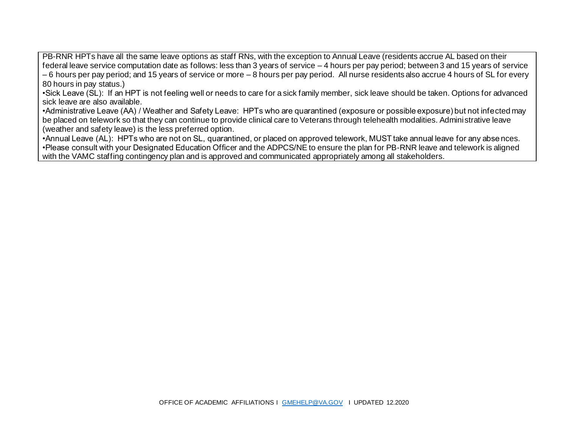PB-RNR HPTs have all the same leave options as staff RNs, with the exception to Annual Leave (residents accrue AL based on their federal leave service computation date as follows: less than 3 years of service – 4 hours per pay period; between 3 and 15 years of service – 6 hours per pay period; and 15 years of service or more – 8 hours per pay period. All nurse residents also accrue 4 hours of SL for every 80 hours in pay status.)

•Sick Leave (SL): If an HPT is not feeling well or needs to care for a sick family member, sick leave should be taken. Options for advanced sick leave are also available.

•Administrative Leave (AA) / Weather and Safety Leave: HPTs who are quarantined (exposure or possible exposure) but not infected may be placed on telework so that they can continue to provide clinical care to Veterans through telehealth modalities. Administrative leave (weather and safety leave) is the less preferred option.

•Annual Leave (AL): HPTs who are not on SL, quarantined, or placed on approved telework, MUST take annual leave for any abse nces. •Please consult with your Designated Education Officer and the ADPCS/NE to ensure the plan for PB-RNR leave and telework is aligned with the VAMC staffing contingency plan and is approved and communicated appropriately among all stakeholders.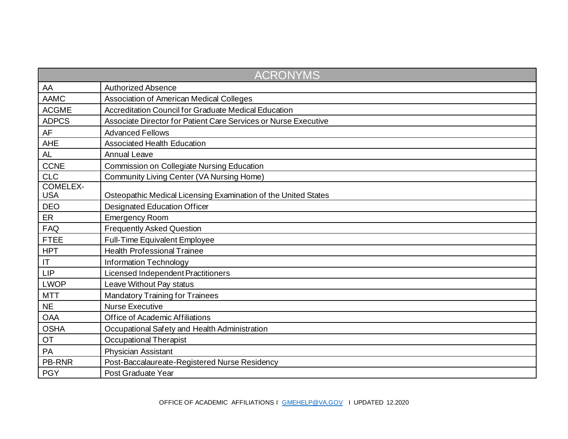| <b>ACRONYMS</b>               |                                                                 |  |
|-------------------------------|-----------------------------------------------------------------|--|
| AA                            | <b>Authorized Absence</b>                                       |  |
| <b>AAMC</b>                   | Association of American Medical Colleges                        |  |
| <b>ACGME</b>                  | Accreditation Council for Graduate Medical Education            |  |
| <b>ADPCS</b>                  | Associate Director for Patient Care Services or Nurse Executive |  |
| AF                            | <b>Advanced Fellows</b>                                         |  |
| <b>AHE</b>                    | <b>Associated Health Education</b>                              |  |
| <b>AL</b>                     | <b>Annual Leave</b>                                             |  |
| <b>CCNE</b>                   | Commission on Collegiate Nursing Education                      |  |
| <b>CLC</b>                    | Community Living Center (VA Nursing Home)                       |  |
| <b>COMELEX-</b><br><b>USA</b> | Osteopathic Medical Licensing Examination of the United States  |  |
| <b>DEO</b>                    | <b>Designated Education Officer</b>                             |  |
| ER                            | <b>Emergency Room</b>                                           |  |
| <b>FAQ</b>                    | <b>Frequently Asked Question</b>                                |  |
| <b>FTEE</b>                   | <b>Full-Time Equivalent Employee</b>                            |  |
| <b>HPT</b>                    | <b>Health Professional Trainee</b>                              |  |
| $\mathsf{I}\mathsf{T}$        | Information Technology                                          |  |
| <b>LIP</b>                    | Licensed Independent Practitioners                              |  |
| <b>LWOP</b>                   | Leave Without Pay status                                        |  |
| <b>MTT</b>                    | <b>Mandatory Training for Trainees</b>                          |  |
| <b>NE</b>                     | <b>Nurse Executive</b>                                          |  |
| <b>OAA</b>                    | <b>Office of Academic Affiliations</b>                          |  |
| <b>OSHA</b>                   | Occupational Safety and Health Administration                   |  |
| OT                            | <b>Occupational Therapist</b>                                   |  |
| PA                            | Physician Assistant                                             |  |
| <b>PB-RNR</b>                 | Post-Baccalaureate-Registered Nurse Residency                   |  |
| <b>PGY</b>                    | Post Graduate Year                                              |  |